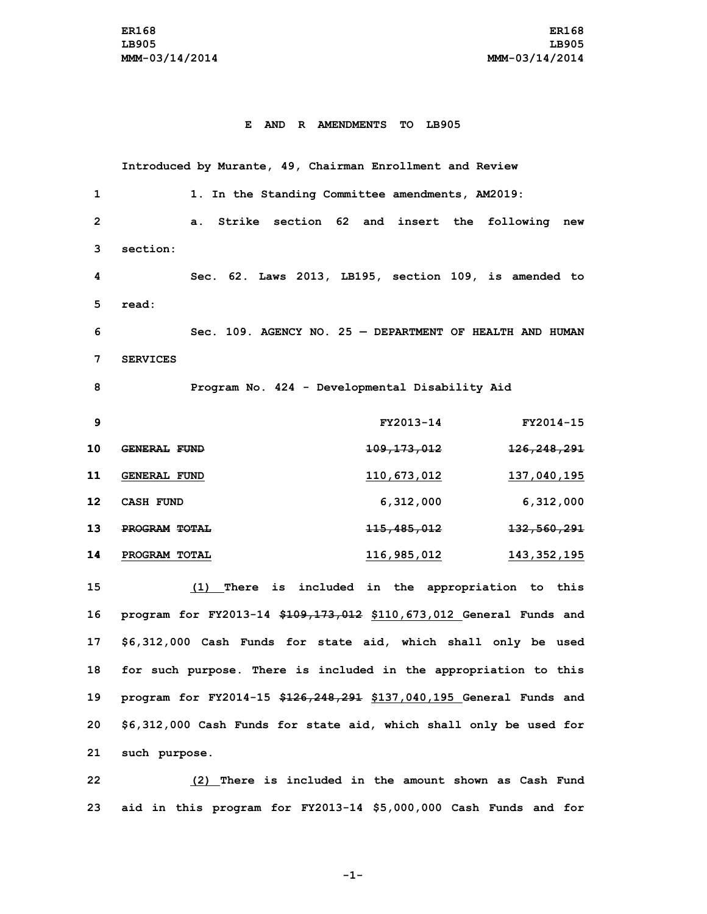## **E AND R AMENDMENTS TO LB905**

**Introduced by Murante, 49, Chairman Enrollment and Review 1. In the Standing Committee amendments, AM2019: a. Strike section 62 and insert the following new 3 section: Sec. 62. Laws 2013, LB195, section 109, is amended to 5 read: Sec. 109. AGENCY NO. 25 — DEPARTMENT OF HEALTH AND HUMAN 7 SERVICES Program No. 424 - Developmental Disability Aid FY2013-14 FY2014-15 GENERAL FUND 109,173,012 126,248,291 GENERAL FUND 110,673,012 137,040,195 CASH FUND 6,312,000 6,312,000 PROGRAM TOTAL 115,485,012 132,560,291 PROGRAM TOTAL 116,985,012 143,352,195 (1) There is included in the appropriation to this program for FY2013-14 \$109,173,012 \$110,673,012 General Funds and \$6,312,000 Cash Funds for state aid, which shall only be used for such purpose. There is included in the appropriation to this program for FY2014-15 \$126,248,291 \$137,040,195 General Funds and \$6,312,000 Cash Funds for state aid, which shall only be used for such purpose.**

**22 (2) There is included in the amount shown as Cash Fund 23 aid in this program for FY2013-14 \$5,000,000 Cash Funds and for**

**-1-**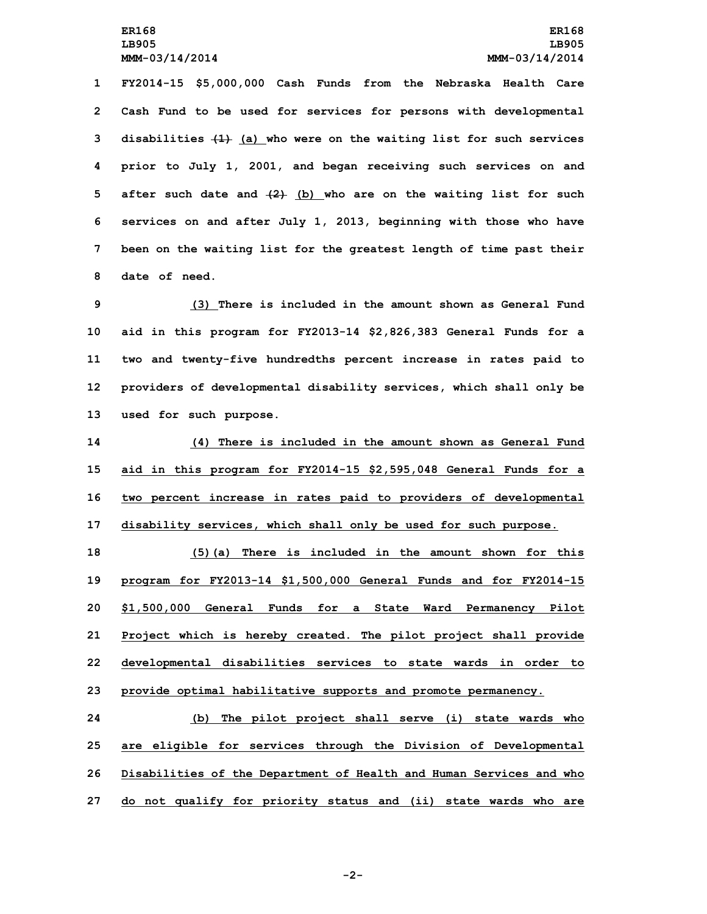**FY2014-15 \$5,000,000 Cash Funds from the Nebraska Health Care Cash Fund to be used for services for persons with developmental disabilities (1) (a) who were on the waiting list for such services prior to July 1, 2001, and began receiving such services on and after such date and (2) (b) who are on the waiting list for such services on and after July 1, 2013, beginning with those who have been on the waiting list for the greatest length of time past their date of need.**

 **(3) There is included in the amount shown as General Fund aid in this program for FY2013-14 \$2,826,383 General Funds for <sup>a</sup> two and twenty-five hundredths percent increase in rates paid to providers of developmental disability services, which shall only be used for such purpose.**

 **(4) There is included in the amount shown as General Fund aid in this program for FY2014-15 \$2,595,048 General Funds for <sup>a</sup> two percent increase in rates paid to providers of developmental disability services, which shall only be used for such purpose.**

 **(5)(a) There is included in the amount shown for this program for FY2013-14 \$1,500,000 General Funds and for FY2014-15 \$1,500,000 General Funds for <sup>a</sup> State Ward Permanency Pilot Project which is hereby created. The pilot project shall provide developmental disabilities services to state wards in order to provide optimal habilitative supports and promote permanency.**

 **(b) The pilot project shall serve (i) state wards who are eligible for services through the Division of Developmental Disabilities of the Department of Health and Human Services and who do not qualify for priority status and (ii) state wards who are**

**-2-**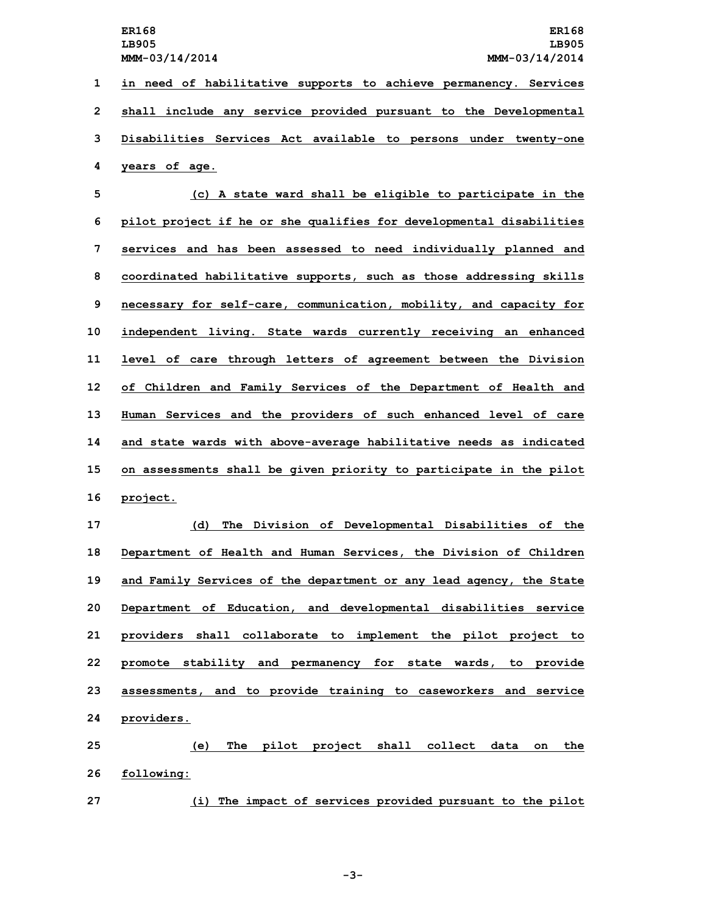**in need of habilitative supports to achieve permanency. Services shall include any service provided pursuant to the Developmental Disabilities Services Act available to persons under twenty-one years of age.**

 **(c) <sup>A</sup> state ward shall be eligible to participate in the pilot project if he or she qualifies for developmental disabilities services and has been assessed to need individually planned and coordinated habilitative supports, such as those addressing skills necessary for self-care, communication, mobility, and capacity for independent living. State wards currently receiving an enhanced level of care through letters of agreement between the Division of Children and Family Services of the Department of Health and Human Services and the providers of such enhanced level of care and state wards with above-average habilitative needs as indicated on assessments shall be given priority to participate in the pilot 16 project.**

 **(d) The Division of Developmental Disabilities of the Department of Health and Human Services, the Division of Children and Family Services of the department or any lead agency, the State Department of Education, and developmental disabilities service providers shall collaborate to implement the pilot project to promote stability and permanency for state wards, to provide assessments, and to provide training to caseworkers and service providers.**

**25 (e) The pilot project shall collect data on the 26 following:**

**27 (i) The impact of services provided pursuant to the pilot**

**-3-**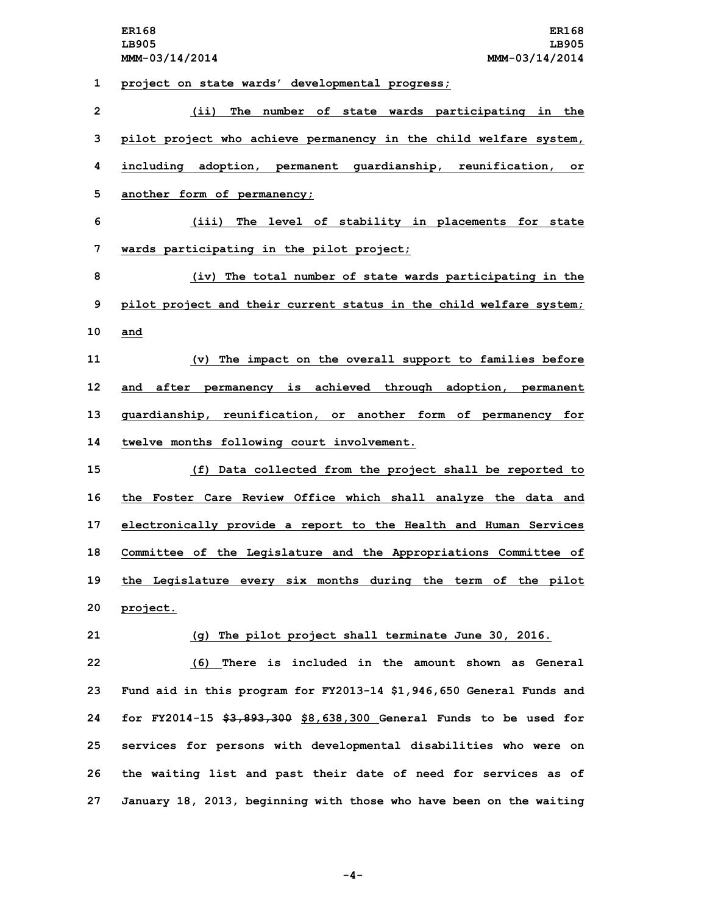**1 project on state wards' developmental progress;**

 **(ii) The number of state wards participating in the pilot project who achieve permanency in the child welfare system, including adoption, permanent guardianship, reunification, or another form of permanency; (iii) The level of stability in placements for state wards participating in the pilot project; (iv) The total number of state wards participating in the pilot project and their current status in the child welfare system; 10 and (v) The impact on the overall support to families before and after permanency is achieved through adoption, permanent guardianship, reunification, or another form of permanency for twelve months following court involvement. (f) Data collected from the project shall be reported to the Foster Care Review Office which shall analyze the data and electronically provide <sup>a</sup> report to the Health and Human Services Committee of the Legislature and the Appropriations Committee of the Legislature every six months during the term of the pilot 20 project. (g) The pilot project shall terminate June 30, 2016. (6) There is included in the amount shown as General Fund aid in this program for FY2013-14 \$1,946,650 General Funds and for FY2014-15 \$3,893,300 \$8,638,300 General Funds to be used for services for persons with developmental disabilities who were on the waiting list and past their date of need for services as of January 18, 2013, beginning with those who have been on the waiting**

**-4-**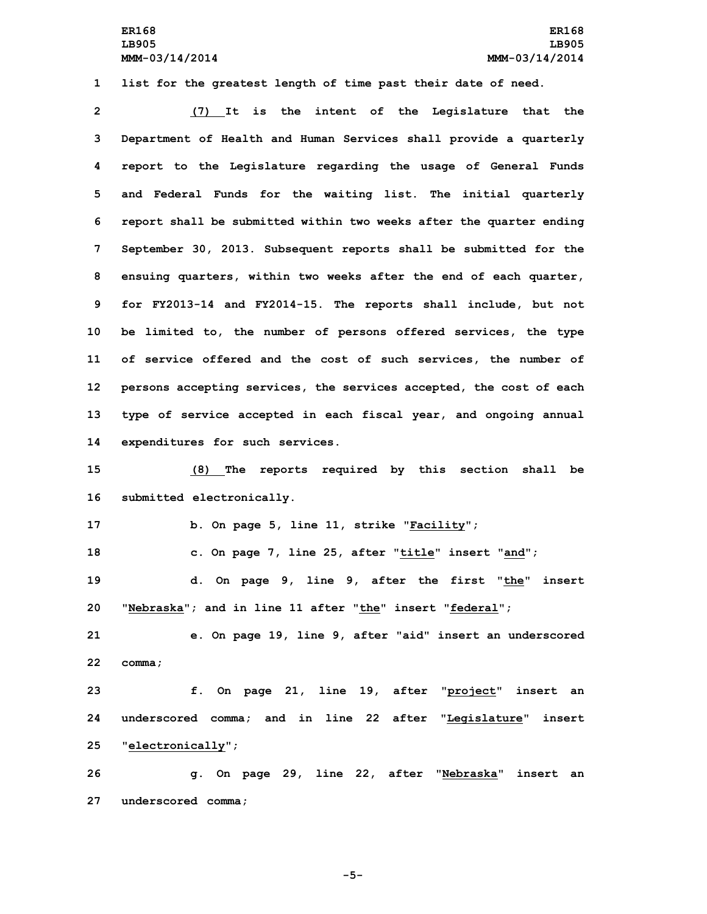**1 list for the greatest length of time past their date of need.**

 **(7) It is the intent of the Legislature that the Department of Health and Human Services shall provide <sup>a</sup> quarterly report to the Legislature regarding the usage of General Funds and Federal Funds for the waiting list. The initial quarterly report shall be submitted within two weeks after the quarter ending September 30, 2013. Subsequent reports shall be submitted for the ensuing quarters, within two weeks after the end of each quarter, for FY2013-14 and FY2014-15. The reports shall include, but not be limited to, the number of persons offered services, the type of service offered and the cost of such services, the number of persons accepting services, the services accepted, the cost of each type of service accepted in each fiscal year, and ongoing annual expenditures for such services.**

**15 (8) The reports required by this section shall be 16 submitted electronically.**

**17 b. On page 5, line 11, strike "Facility";**

**18 c. On page 7, line 25, after "title" insert "and";**

**19 d. On page 9, line 9, after the first "the" insert 20 "Nebraska"; and in line 11 after "the" insert "federal";**

**21 e. On page 19, line 9, after "aid" insert an underscored 22 comma;**

**23 f. On page 21, line 19, after "project" insert an 24 underscored comma; and in line 22 after "Legislature" insert 25 "electronically";**

**26 g. On page 29, line 22, after "Nebraska" insert an 27 underscored comma;**

**-5-**